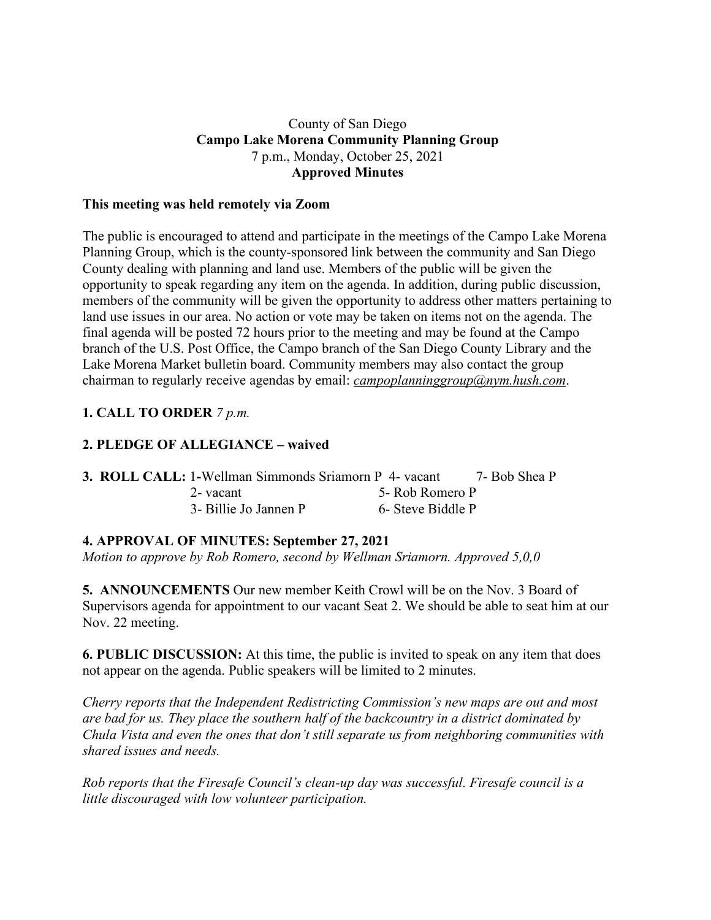#### County of San Diego **Campo Lake Morena Community Planning Group** 7 p.m., Monday, October 25, 2021 **Approved Minutes**

#### **This meeting was held remotely via Zoom**

The public is encouraged to attend and participate in the meetings of the Campo Lake Morena Planning Group, which is the county-sponsored link between the community and San Diego County dealing with planning and land use. Members of the public will be given the opportunity to speak regarding any item on the agenda. In addition, during public discussion, members of the community will be given the opportunity to address other matters pertaining to land use issues in our area. No action or vote may be taken on items not on the agenda. The final agenda will be posted 72 hours prior to the meeting and may be found at the Campo branch of the U.S. Post Office, the Campo branch of the San Diego County Library and the Lake Morena Market bulletin board. Community members may also contact the group chairman to regularly receive agendas by email: *campoplanninggroup@nym.hush.com*.

# **1. CALL TO ORDER** *7 p.m.*

# **2. PLEDGE OF ALLEGIANCE – waived**

| <b>3. ROLL CALL: 1-Wellman Simmonds Sriamorn P 4- vacant</b> |                   | 7- Bob Shea P |
|--------------------------------------------------------------|-------------------|---------------|
| 2-vacant                                                     | 5- Rob Romero P   |               |
| 3- Billie Jo Jannen P                                        | 6- Steve Biddle P |               |

### **4. APPROVAL OF MINUTES: September 27, 2021**

*Motion to approve by Rob Romero, second by Wellman Sriamorn. Approved 5,0,0*

**5. ANNOUNCEMENTS** Our new member Keith Crowl will be on the Nov. 3 Board of Supervisors agenda for appointment to our vacant Seat 2. We should be able to seat him at our Nov. 22 meeting.

**6. PUBLIC DISCUSSION:** At this time, the public is invited to speak on any item that does not appear on the agenda. Public speakers will be limited to 2 minutes.

*Cherry reports that the Independent Redistricting Commission's new maps are out and most are bad for us. They place the southern half of the backcountry in a district dominated by Chula Vista and even the ones that don't still separate us from neighboring communities with shared issues and needs.*

*Rob reports that the Firesafe Council's clean-up day was successful. Firesafe council is a little discouraged with low volunteer participation.*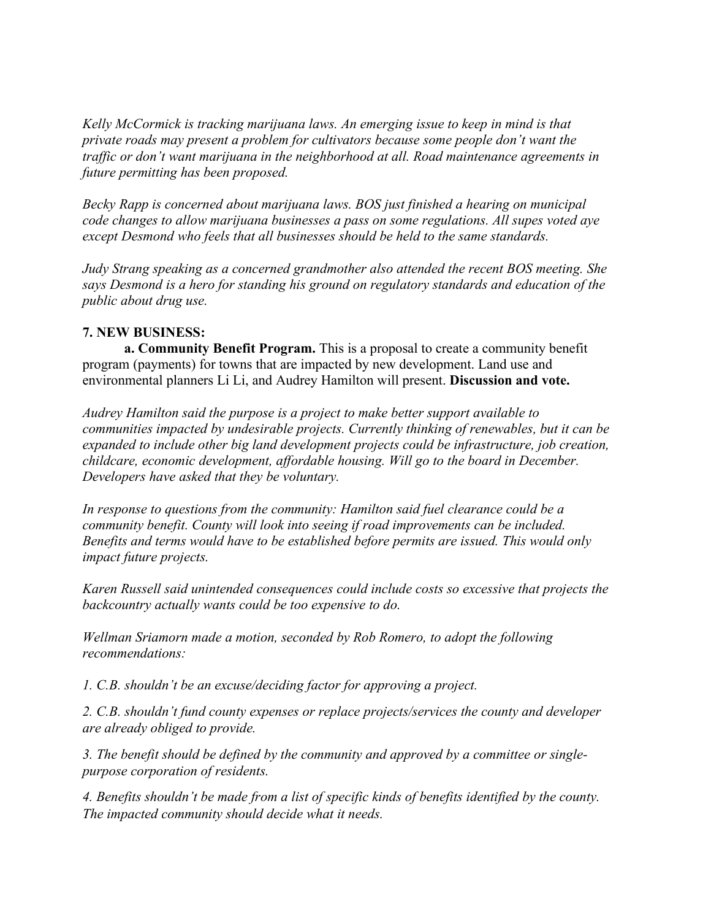*Kelly McCormick is tracking marijuana laws. An emerging issue to keep in mind is that private roads may present a problem for cultivators because some people don't want the traffic or don't want marijuana in the neighborhood at all. Road maintenance agreements in future permitting has been proposed.*

*Becky Rapp is concerned about marijuana laws. BOS just finished a hearing on municipal code changes to allow marijuana businesses a pass on some regulations. All supes voted aye except Desmond who feels that all businesses should be held to the same standards.*

*Judy Strang speaking as a concerned grandmother also attended the recent BOS meeting. She says Desmond is a hero for standing his ground on regulatory standards and education of the public about drug use.*

### **7. NEW BUSINESS:**

**a. Community Benefit Program.** This is a proposal to create a community benefit program (payments) for towns that are impacted by new development. Land use and environmental planners Li Li, and Audrey Hamilton will present. **Discussion and vote.**

*Audrey Hamilton said the purpose is a project to make better support available to communities impacted by undesirable projects. Currently thinking of renewables, but it can be expanded to include other big land development projects could be infrastructure, job creation, childcare, economic development, affordable housing. Will go to the board in December. Developers have asked that they be voluntary.*

*In response to questions from the community: Hamilton said fuel clearance could be a community benefit. County will look into seeing if road improvements can be included. Benefits and terms would have to be established before permits are issued. This would only impact future projects.*

*Karen Russell said unintended consequences could include costs so excessive that projects the backcountry actually wants could be too expensive to do.*

*Wellman Sriamorn made a motion, seconded by Rob Romero, to adopt the following recommendations:*

*1. C.B. shouldn't be an excuse/deciding factor for approving a project.*

*2. C.B. shouldn't fund county expenses or replace projects/services the county and developer are already obliged to provide.*

*3. The benefit should be defined by the community and approved by a committee or singlepurpose corporation of residents.*

*4. Benefits shouldn't be made from a list of specific kinds of benefits identified by the county. The impacted community should decide what it needs.*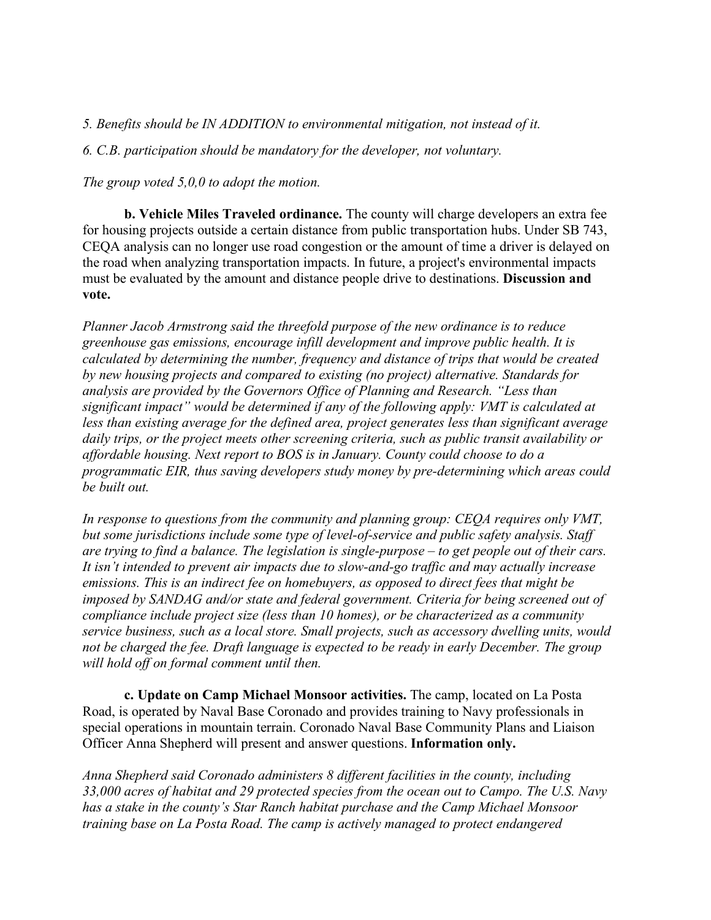*5. Benefits should be IN ADDITION to environmental mitigation, not instead of it.*

*6. C.B. participation should be mandatory for the developer, not voluntary.*

*The group voted 5,0,0 to adopt the motion.*

**b. Vehicle Miles Traveled ordinance.** The county will charge developers an extra fee for housing projects outside a certain distance from public transportation hubs. Under SB 743, CEQA analysis can no longer use road congestion or the amount of time a driver is delayed on the road when analyzing transportation impacts. In future, a project's environmental impacts must be evaluated by the amount and distance people drive to destinations. **Discussion and vote.**

*Planner Jacob Armstrong said the threefold purpose of the new ordinance is to reduce greenhouse gas emissions, encourage infill development and improve public health. It is calculated by determining the number, frequency and distance of trips that would be created by new housing projects and compared to existing (no project) alternative. Standards for analysis are provided by the Governors Office of Planning and Research. "Less than significant impact" would be determined if any of the following apply: VMT is calculated at less than existing average for the defined area, project generates less than significant average daily trips, or the project meets other screening criteria, such as public transit availability or affordable housing. Next report to BOS is in January. County could choose to do a programmatic EIR, thus saving developers study money by pre-determining which areas could be built out.*

*In response to questions from the community and planning group: CEQA requires only VMT, but some jurisdictions include some type of level-of-service and public safety analysis. Staff are trying to find a balance. The legislation is single-purpose – to get people out of their cars. It isn't intended to prevent air impacts due to slow-and-go traffic and may actually increase emissions. This is an indirect fee on homebuyers, as opposed to direct fees that might be imposed by SANDAG and/or state and federal government. Criteria for being screened out of compliance include project size (less than 10 homes), or be characterized as a community service business, such as a local store. Small projects, such as accessory dwelling units, would not be charged the fee. Draft language is expected to be ready in early December. The group will hold off on formal comment until then.*

**c. Update on Camp Michael Monsoor activities.** The camp, located on La Posta Road, is operated by Naval Base Coronado and provides training to Navy professionals in special operations in mountain terrain. Coronado Naval Base Community Plans and Liaison Officer Anna Shepherd will present and answer questions. **Information only.**

*Anna Shepherd said Coronado administers 8 different facilities in the county, including 33,000 acres of habitat and 29 protected species from the ocean out to Campo. The U.S. Navy has a stake in the county's Star Ranch habitat purchase and the Camp Michael Monsoor training base on La Posta Road. The camp is actively managed to protect endangered*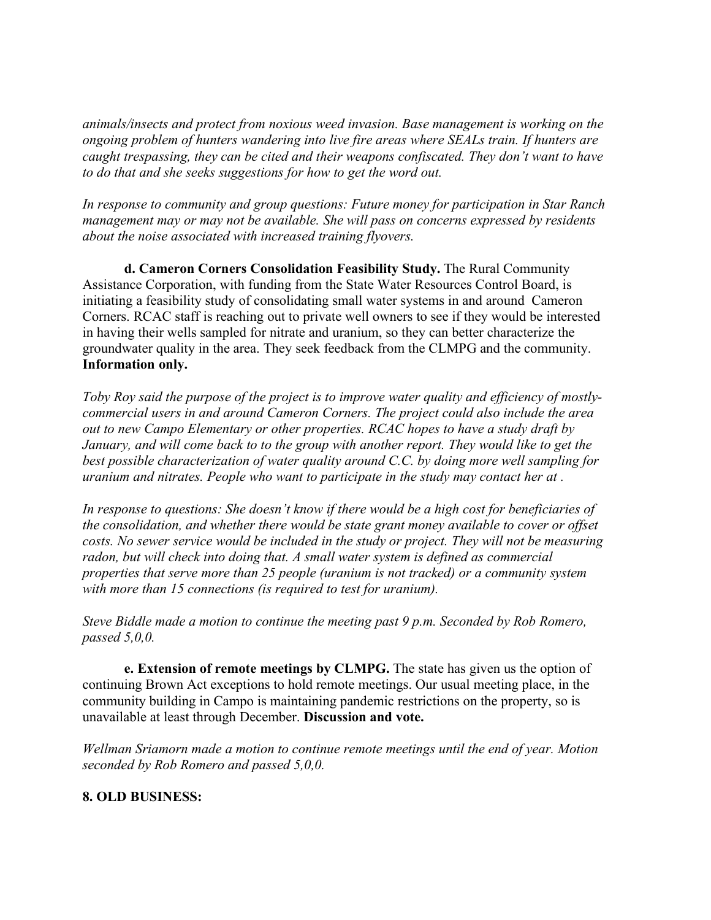*animals/insects and protect from noxious weed invasion. Base management is working on the ongoing problem of hunters wandering into live fire areas where SEALs train. If hunters are caught trespassing, they can be cited and their weapons confiscated. They don't want to have to do that and she seeks suggestions for how to get the word out.*

*In response to community and group questions: Future money for participation in Star Ranch management may or may not be available. She will pass on concerns expressed by residents about the noise associated with increased training flyovers.*

**d. Cameron Corners Consolidation Feasibility Study.** The Rural Community Assistance Corporation, with funding from the State Water Resources Control Board, is initiating a feasibility study of consolidating small water systems in and around Cameron Corners. RCAC staff is reaching out to private well owners to see if they would be interested in having their wells sampled for nitrate and uranium, so they can better characterize the groundwater quality in the area. They seek feedback from the CLMPG and the community. **Information only.**

*Toby Roy said the purpose of the project is to improve water quality and efficiency of mostlycommercial users in and around Cameron Corners. The project could also include the area out to new Campo Elementary or other properties. RCAC hopes to have a study draft by January, and will come back to to the group with another report. They would like to get the best possible characterization of water quality around C.C. by doing more well sampling for uranium and nitrates. People who want to participate in the study may contact her at .*

*In response to questions: She doesn't know if there would be a high cost for beneficiaries of the consolidation, and whether there would be state grant money available to cover or offset costs. No sewer service would be included in the study or project. They will not be measuring radon, but will check into doing that. A small water system is defined as commercial properties that serve more than 25 people (uranium is not tracked) or a community system with more than 15 connections (is required to test for uranium).*

*Steve Biddle made a motion to continue the meeting past 9 p.m. Seconded by Rob Romero, passed 5,0,0.*

**e. Extension of remote meetings by CLMPG.** The state has given us the option of continuing Brown Act exceptions to hold remote meetings. Our usual meeting place, in the community building in Campo is maintaining pandemic restrictions on the property, so is unavailable at least through December. **Discussion and vote.**

*Wellman Sriamorn made a motion to continue remote meetings until the end of year. Motion seconded by Rob Romero and passed 5,0,0.*

### **8. OLD BUSINESS:**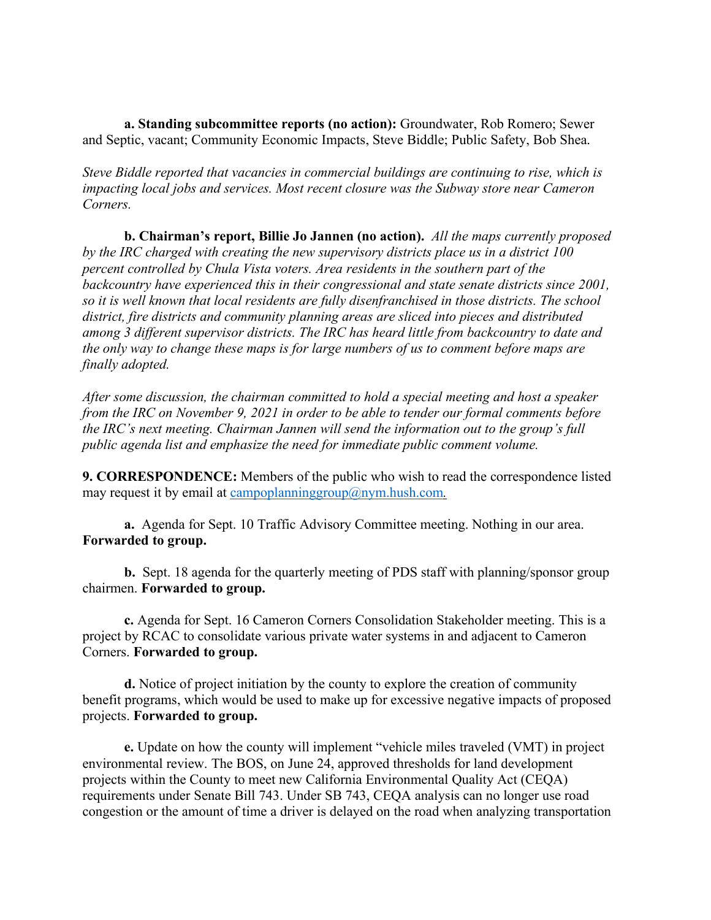**a. Standing subcommittee reports (no action):** Groundwater, Rob Romero; Sewer and Septic, vacant; Community Economic Impacts, Steve Biddle; Public Safety, Bob Shea.

*Steve Biddle reported that vacancies in commercial buildings are continuing to rise, which is impacting local jobs and services. Most recent closure was the Subway store near Cameron Corners.*

**b. Chairman's report, Billie Jo Jannen (no action).** *All the maps currently proposed by the IRC charged with creating the new supervisory districts place us in a district 100 percent controlled by Chula Vista voters. Area residents in the southern part of the backcountry have experienced this in their congressional and state senate districts since 2001, so it is well known that local residents are fully disenfranchised in those districts. The school district, fire districts and community planning areas are sliced into pieces and distributed among 3 different supervisor districts. The IRC has heard little from backcountry to date and the only way to change these maps is for large numbers of us to comment before maps are finally adopted.*

*After some discussion, the chairman committed to hold a special meeting and host a speaker from the IRC on November 9, 2021 in order to be able to tender our formal comments before the IRC's next meeting. Chairman Jannen will send the information out to the group's full public agenda list and emphasize the need for immediate public comment volume.*

**9. CORRESPONDENCE:** Members of the public who wish to read the correspondence listed may request it by email at campoplanninggroup@nym.hush.com.

**a.** Agenda for Sept. 10 Traffic Advisory Committee meeting. Nothing in our area. **Forwarded to group.**

**b.** Sept. 18 agenda for the quarterly meeting of PDS staff with planning/sponsor group chairmen. **Forwarded to group.**

**c.** Agenda for Sept. 16 Cameron Corners Consolidation Stakeholder meeting. This is a project by RCAC to consolidate various private water systems in and adjacent to Cameron Corners. **Forwarded to group.**

**d.** Notice of project initiation by the county to explore the creation of community benefit programs, which would be used to make up for excessive negative impacts of proposed projects. **Forwarded to group.**

**e.** Update on how the county will implement "vehicle miles traveled (VMT) in project environmental review. The BOS, on June 24, approved thresholds for land development projects within the County to meet new California Environmental Quality Act (CEQA) requirements under Senate Bill 743. Under SB 743, CEQA analysis can no longer use road congestion or the amount of time a driver is delayed on the road when analyzing transportation